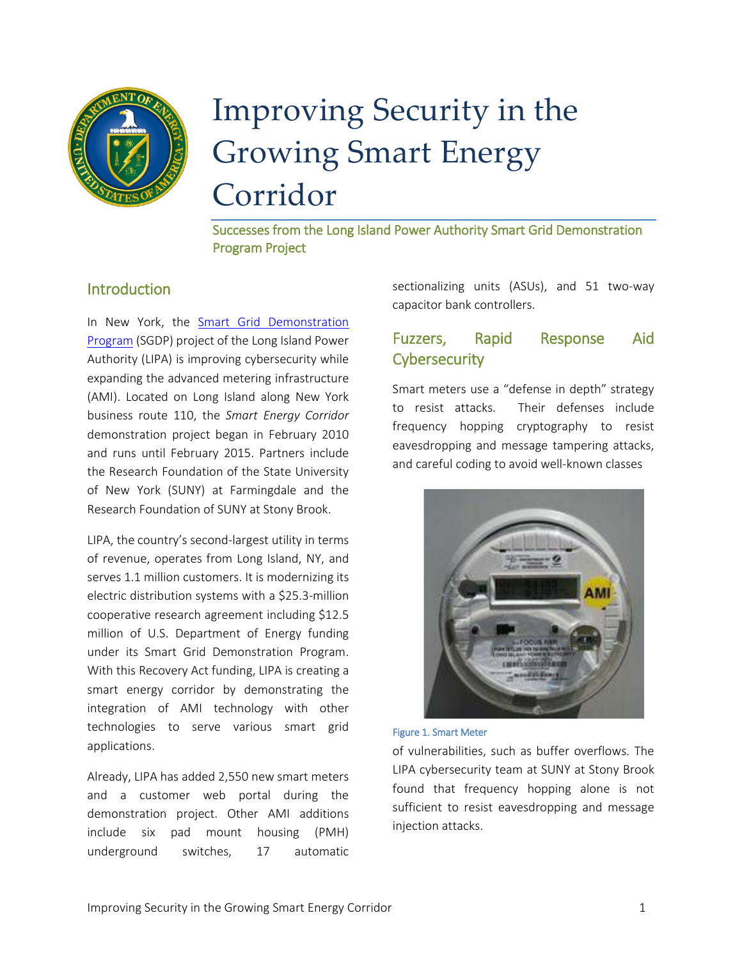

# Improving Security in the Growing Smart Energy Corridor

Successes from the Long Island Power Authority Smart Grid Demonstration Program Project

#### **Introduction**

In New York, the [Smart Grid Demonstration](https://smartgrid.gov/recovery_act/overview/smart_grid_demonstration_program)  [Program](https://smartgrid.gov/recovery_act/overview/smart_grid_demonstration_program) (SGDP) project of the Long Island Power Authority (LIPA) is improving cybersecurity while expanding the advanced metering infrastructure (AMI). Located on Long Island along New York business route 110, the *Smart Energy Corridor* demonstration project began in February 2010 and runs until February 2015. Partners include the Research Foundation of the State University of New York (SUNY) at Farmingdale and the Research Foundation of SUNY at Stony Brook.

LIPA, the country's second-largest utility in terms of revenue, operates from Long Island, NY, and serves 1.1 million customers. It is modernizing its electric distribution systems with a \$25.3-million cooperative research agreement including \$12.5 million of U.S. Department of Energy funding under its Smart Grid Demonstration Program. With this Recovery Act funding, LIPA is creating a smart energy corridor by demonstrating the integration of AMI technology with other technologies to serve various smart grid applications.

Already, LIPA has added 2,550 new smart meters and a customer web portal during the demonstration project. Other AMI additions include six pad mount housing (PMH) underground switches, 17 automatic sectionalizing units (ASUs), and 51 two-way capacitor bank controllers.

## Fuzzers, Rapid Response Aid **Cybersecurity**

Smart meters use a "defense in depth" strategy to resist attacks. Their defenses include frequency hopping cryptography to resist eavesdropping and message tampering attacks, and careful coding to avoid well-known classes





of vulnerabilities, such as buffer overflows. The LIPA cybersecurity team at SUNY at Stony Brook found that frequency hopping alone is not sufficient to resist eavesdropping and message injection attacks.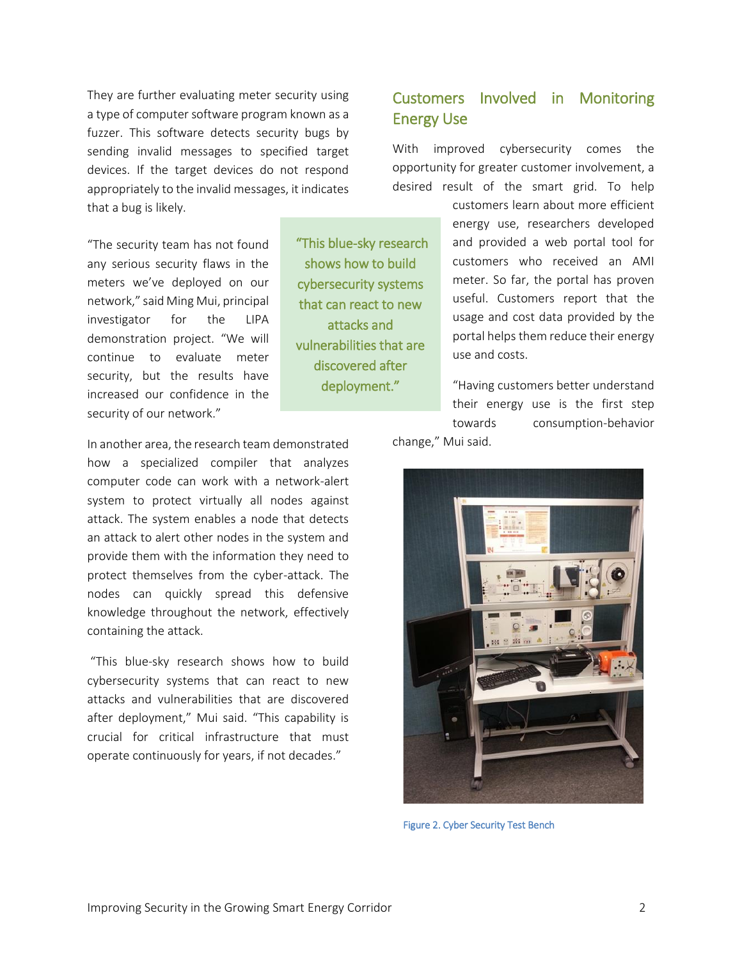They are further evaluating meter security using a type of computer software program known as a fuzzer. This software detects security bugs by sending invalid messages to specified target devices. If the target devices do not respond appropriately to the invalid messages, it indicates that a bug is likely.

"The security team has not found any serious security flaws in the meters we've deployed on our network," said Ming Mui, principal investigator for the LIPA demonstration project. "We will continue to evaluate meter security, but the results have increased our confidence in the security of our network."

 "This blue-sky research shows how to build cybersecurity systems that can react to new attacks and vulnerabilities that are discovered after deployment."

### Customers Involved in Monitoring Energy Use

With improved cybersecurity comes the opportunity for greater customer involvement, a desired result of the smart grid. To help

> customers learn about more efficient energy use, researchers developed and provided a web portal tool for customers who received an AMI meter. So far, the portal has proven useful. Customers report that the usage and cost data provided by the portal helps them reduce their energy use and costs.

"Having customers better understand their energy use is the first step towards consumption-behavior change," Mui said.

In another area, the research team demonstrated how a specialized compiler that analyzes computer code can work with a network-alert system to protect virtually all nodes against attack. The system enables a node that detects an attack to alert other nodes in the system and provide them with the information they need to protect themselves from the cyber-attack. The nodes can quickly spread this defensive knowledge throughout the network, effectively containing the attack.

"This blue-sky research shows how to build cybersecurity systems that can react to new attacks and vulnerabilities that are discovered after deployment," Mui said. "This capability is crucial for critical infrastructure that must operate continuously for years, if not decades."



Figure 2. Cyber Security Test Bench